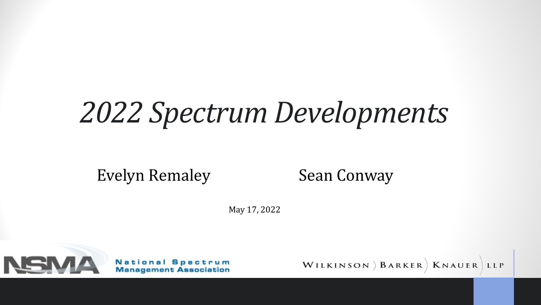# *2022 Spectrum Developments*

Evelyn Remaley

Sean Conway

May 17, 2022



**National Spectrum Management Association**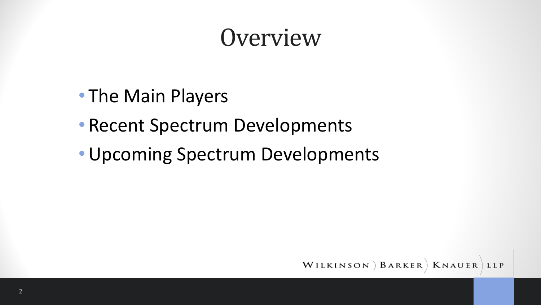#### **Overview**

- The Main Players
- Recent Spectrum Developments
- •Upcoming Spectrum Developments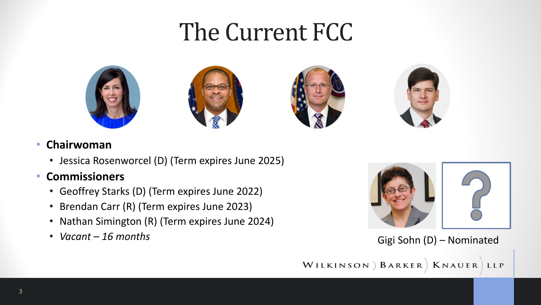#### The Current FCC









#### • **Chairwoman**

• Jessica Rosenworcel (D) (Term expires June 2025)

#### • **Commissioners**

- Geoffrey Starks (D) (Term expires June 2022)
- Brendan Carr (R) (Term expires June 2023)
- Nathan Simington (R) (Term expires June 2024)
- *Vacant – 16 months*



#### Gigi Sohn (D) – Nominated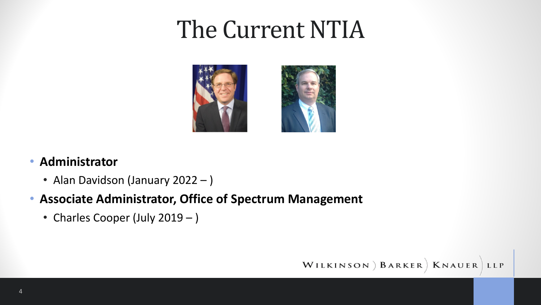### The Current NTIA





#### • **Administrator**

- Alan Davidson (January 2022 )
- **Associate Administrator, Office of Spectrum Management**
	- Charles Cooper (July 2019 )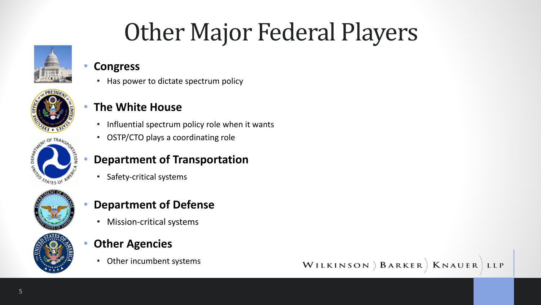### **Other Major Federal Players**



#### • **Congress**

• Has power to dictate spectrum policy



#### • **The White House**

- Influential spectrum policy role when it wants
- OSTP/CTO plays a coordinating role

#### • **Department of Transportation**

• Safety-critical systems



#### • **Department of Defense**

- Mission-critical systems
- **Other Agencies**
	- Other incumbent systems



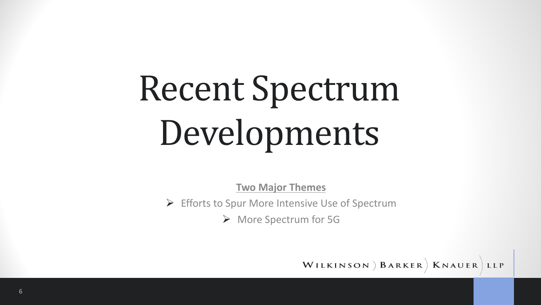# Recent Spectrum Developments

**Two Major Themes**

 $\triangleright$  Efforts to Spur More Intensive Use of Spectrum

Ø More Spectrum for 5G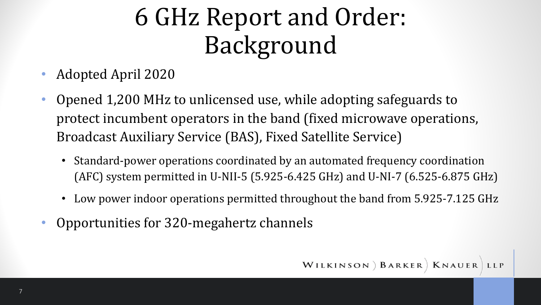### 6 GHz Report and Order: Background

- Adopted April 2020
- Opened 1,200 MHz to unlicensed use, while adopting safeguards to protect incumbent operators in the band (fixed microwave operations, Broadcast Auxiliary Service (BAS), Fixed Satellite Service)
	- Standard-power operations coordinated by an automated frequency coordination (AFC) system permitted in U-NII-5 (5.925-6.425 GHz) and U-NI-7 (6.525-6.875 GHz)
	- Low power indoor operations permitted throughout the band from 5.925-7.125 GHz
- Opportunities for 320-megahertz channels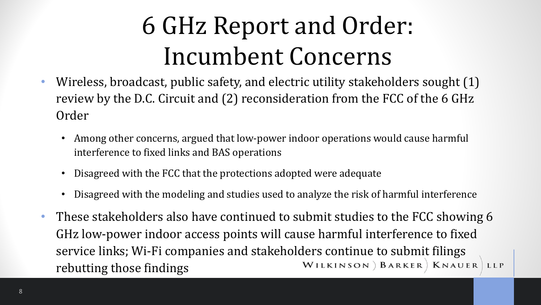### 6 GHz Report and Order: Incumbent Concerns

- Wireless, broadcast, public safety, and electric utility stakeholders sought (1) review by the D.C. Circuit and (2) reconsideration from the FCC of the 6 GHz Order
	- Among other concerns, argued that low-power indoor operations would cause harmful interference to fixed links and BAS operations
	- Disagreed with the FCC that the protections adopted were adequate
	- Disagreed with the modeling and studies used to analyze the risk of harmful interference
- These stakeholders also have continued to submit studies to the FCC showing 6 GHz low-power indoor access points will cause harmful interference to fixed service links; Wi-Fi companies and stakeholders continue to submit filings<br>
WILKINSON) BARKER) KNAUER LLP rebutting those findings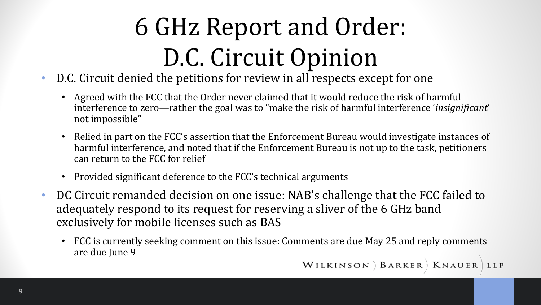# 6 GHz Report and Order: D.C. Circuit Opinion

- D.C. Circuit denied the petitions for review in all respects except for one
	- Agreed with the FCC that the Order never claimed that it would reduce the risk of harmful interference to zero—rather the goal was to "make the risk of harmful interference 'insignificant' not impossible"
	- Relied in part on the FCC's assertion that the Enforcement Bureau would investigate instances of harmful interference, and noted that if the Enforcement Bureau is not up to the task, petitioners can return to the FCC for relief
	- Provided significant deference to the FCC's technical arguments
- DC Circuit remanded decision on one issue: NAB's challenge that the FCC failed to adequately respond to its request for reserving a sliver of the 6 GHz band exclusively for mobile licenses such as BAS
	- FCC is currently seeking comment on this issue: Comments are due May 25 and reply comments are due June 9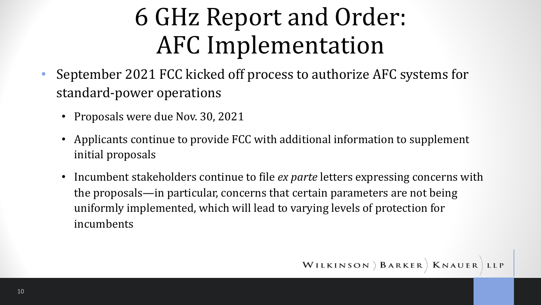### 6 GHz Report and Order: AFC Implementation

- September 2021 FCC kicked off process to authorize AFC systems for standard-power operations
	- Proposals were due Nov. 30, 2021
	- Applicants continue to provide FCC with additional information to supplement initial proposals
	- Incumbent stakeholders continue to file *ex parte* letters expressing concerns with the proposals—in particular, concerns that certain parameters are not being uniformly implemented, which will lead to varying levels of protection for incumbents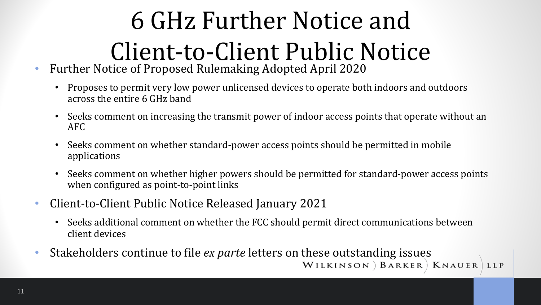# 6 GHz Further Notice and Client-to-Client Public Notice

- Further Notice of Proposed Rulemaking Adopted April 2020
	- Proposes to permit very low power unlicensed devices to operate both indoors and outdoors across the entire 6 GHz band
	- Seeks comment on increasing the transmit power of indoor access points that operate without an AFC
	- Seeks comment on whether standard-power access points should be permitted in mobile applications
	- Seeks comment on whether higher powers should be permitted for standard-power access points when configured as point-to-point links
- Client-to-Client Public Notice Released January 2021
	- Seeks additional comment on whether the FCC should permit direct communications between client devices
- Stakeholders continue to file *ex parte* letters on these outstanding issues<br>WILKINSON ) BARKER | KNAUER LLP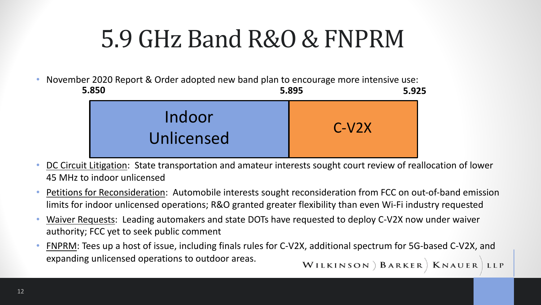### 5.9 GHz Band R&O & FNPRM

• November 2020 Report & Order adopted new band plan to encourage more intensive use:

| 5.850                | 5.895   | 5.925 |
|----------------------|---------|-------|
| Indoor<br>Unlicensed | $C-V2X$ |       |

- DC Circuit Litigation: State transportation and amateur interests sought court review of reallocation of lower 45 MHz to indoor unlicensed
- Petitions for Reconsideration: Automobile interests sought reconsideration from FCC on out-of-band emission limits for indoor unlicensed operations; R&O granted greater flexibility than even Wi-Fi industry requested
- Waiver Requests: Leading automakers and state DOTs have requested to deploy C-V2X now under waiver authority; FCC yet to seek public comment
- FNPRM: Tees up a host of issue, including finals rules for C-V2X, additional spectrum for 5G-based C-V2X, and expanding unlicensed operations to outdoor areas. WILKINSON ) BARKER | KNAUER LLP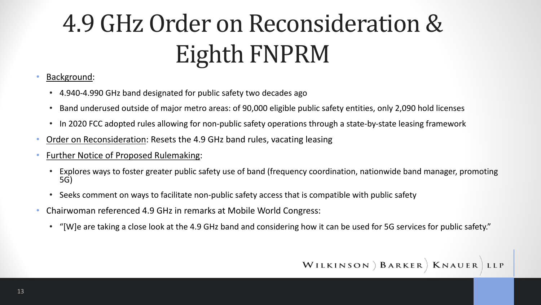# 4.9 GHz Order on Reconsideration & Eighth FNPRM

- Background:
	- 4.940-4.990 GHz band designated for public safety two decades ago
	- Band underused outside of major metro areas: of 90,000 eligible public safety entities, only 2,090 hold licenses
	- In 2020 FCC adopted rules allowing for non-public safety operations through a state-by-state leasing framework
- Order on Reconsideration: Resets the 4.9 GHz band rules, vacating leasing
- Further Notice of Proposed Rulemaking:
	- Explores ways to foster greater public safety use of band (frequency coordination, nationwide band manager, promoting 5G)
	- Seeks comment on ways to facilitate non-public safety access that is compatible with public safety
- Chairwoman referenced 4.9 GHz in remarks at Mobile World Congress:
	- "[W]e are taking a close look at the 4.9 GHz band and considering how it can be used for 5G services for public safety."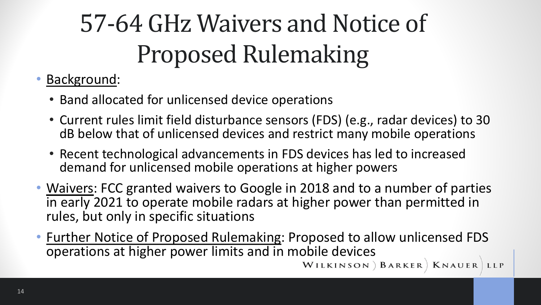# 57-64 GHz Waivers and Notice of Proposed Rulemaking

#### • Background:

- Band allocated for unlicensed device operations
- Current rules limit field disturbance sensors (FDS) (e.g., radar devices) to 30 dB below that of unlicensed devices and restrict many mobile operations
- Recent technological advancements in FDS devices has led to increased demand for unlicensed mobile operations at higher powers
- Waivers: FCC granted waivers to Google in 2018 and to a number of parties in early 2021 to operate mobile radars at higher power than permitted in rules, but only in specific situations
- Further Notice of Proposed Rulemaking: Proposed to allow unlicensed FDS operations at higher power limits and in mobile devices<br>WILKINSON ) BARKER | KNAUER LLP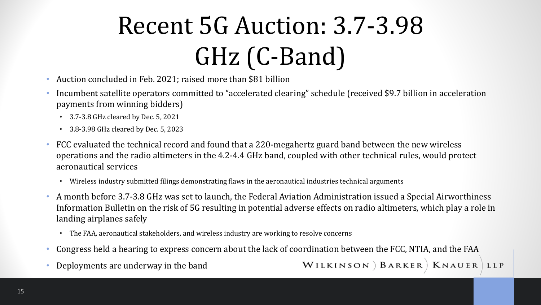# Recent 5G Auction: 3.7-3.98 GHz (C-Band)

- Auction concluded in Feb. 2021; raised more than \$81 billion
- Incumbent satellite operators committed to "accelerated clearing" schedule (received \$9.7 billion in acceleration payments from winning bidders)
	- $\cdot$  3.7-3.8 GHz cleared by Dec. 5, 2021
	- $\cdot$  3.8-3.98 GHz cleared by Dec. 5, 2023
- FCC evaluated the technical record and found that a 220-megahertz guard band between the new wireless operations and the radio altimeters in the 4.2-4.4 GHz band, coupled with other technical rules, would protect aeronautical services
	- Wireless industry submitted filings demonstrating flaws in the aeronautical industries technical arguments
- A month before 3.7-3.8 GHz was set to launch, the Federal Aviation Administration issued a Special Airworthiness Information Bulletin on the risk of 5G resulting in potential adverse effects on radio altimeters, which play a role in landing airplanes safely
	- The FAA, aeronautical stakeholders, and wireless industry are working to resolve concerns
- Congress held a hearing to express concern about the lack of coordination between the FCC, NTIA, and the FAA
- Deployments are underway in the band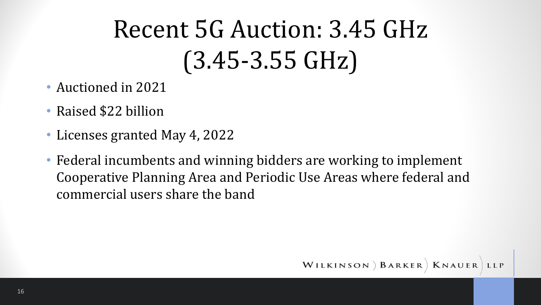# Recent 5G Auction: 3.45 GHz  $(3.45 - 3.55$  GHz)

- Auctioned in 2021
- Raised \$22 billion
- Licenses granted May 4, 2022
- Federal incumbents and winning bidders are working to implement Cooperative Planning Area and Periodic Use Areas where federal and commercial users share the band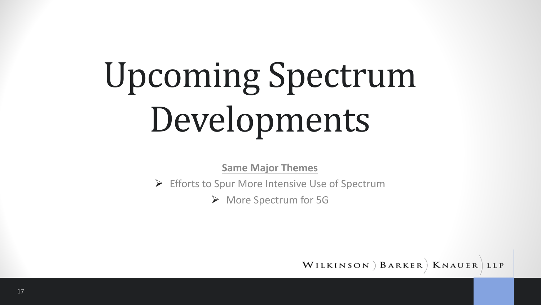# Upcoming Spectrum Developments

**Same Major Themes**

 $\triangleright$  Efforts to Spur More Intensive Use of Spectrum

Ø More Spectrum for 5G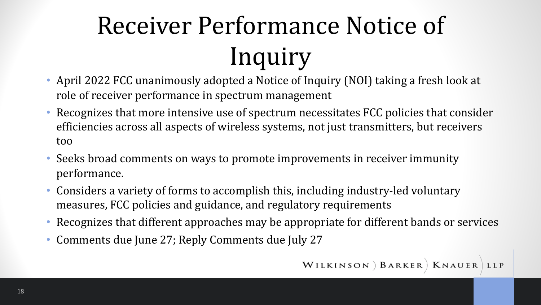# Receiver Performance Notice of Inquiry

- April 2022 FCC unanimously adopted a Notice of Inquiry (NOI) taking a fresh look at role of receiver performance in spectrum management
- Recognizes that more intensive use of spectrum necessitates FCC policies that consider efficiencies across all aspects of wireless systems, not just transmitters, but receivers too
- Seeks broad comments on ways to promote improvements in receiver immunity performance.
- Considers a variety of forms to accomplish this, including industry-led voluntary measures, FCC policies and guidance, and regulatory requirements
- Recognizes that different approaches may be appropriate for different bands or services
- Comments due June 27; Reply Comments due July 27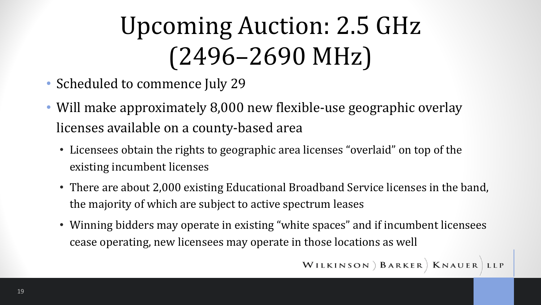# Upcoming Auction: 2.5 GHz (2496–2690 MHz)

- Scheduled to commence July 29
- Will make approximately 8,000 new flexible-use geographic overlay licenses available on a county-based area
	- Licensees obtain the rights to geographic area licenses "overlaid" on top of the existing incumbent licenses
	- There are about 2,000 existing Educational Broadband Service licenses in the band, the majority of which are subject to active spectrum leases
	- Winning bidders may operate in existing "white spaces" and if incumbent licensees cease operating, new licensees may operate in those locations as well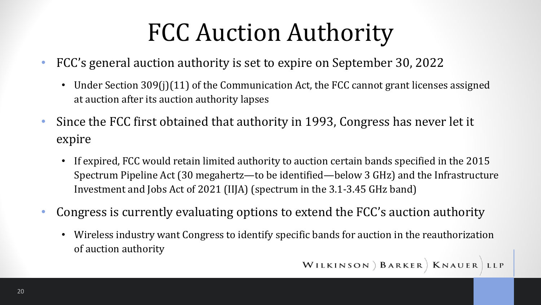### FCC Auction Authority

- FCC's general auction authority is set to expire on September 30, 2022
	- Under Section 309(j)(11) of the Communication Act, the FCC cannot grant licenses assigned at auction after its auction authority lapses
- Since the FCC first obtained that authority in 1993, Congress has never let it expire
	- If expired, FCC would retain limited authority to auction certain bands specified in the 2015 Spectrum Pipeline Act (30 megahertz—to be identified—below 3 GHz) and the Infrastructure Investment and Jobs Act of 2021 (IIJA) (spectrum in the 3.1-3.45 GHz band)
- Congress is currently evaluating options to extend the FCC's auction authority
	- Wireless industry want Congress to identify specific bands for auction in the reauthorization of auction authority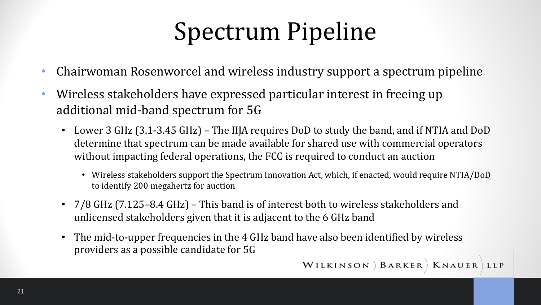### Spectrum Pipeline

- Chairwoman Rosenworcel and wireless industry support a spectrum pipeline
- Wireless stakeholders have expressed particular interest in freeing up additional mid-band spectrum for 5G
	- Lower 3 GHz (3.1-3.45 GHz) The IIJA requires DoD to study the band, and if NTIA and DoD determine that spectrum can be made available for shared use with commercial operators without impacting federal operations, the FCC is required to conduct an auction
		- Wireless stakeholders support the Spectrum Innovation Act, which, if enacted, would require NTIA/DoD to identify 200 megahertz for auction
	- 7/8 GHz (7.125–8.4 GHz) This band is of interest both to wireless stakeholders and unlicensed stakeholders given that it is adjacent to the 6 GHz band
	- The mid-to-upper frequencies in the 4 GHz band have also been identified by wireless providers as a possible candidate for 5G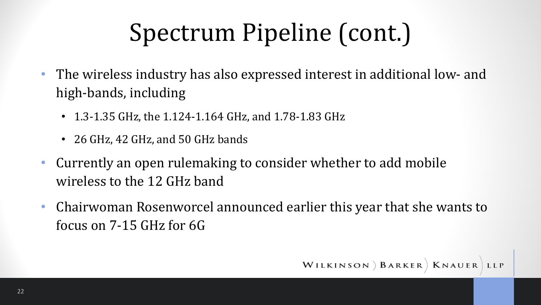### Spectrum Pipeline (cont.)

- The wireless industry has also expressed interest in additional low- and high-bands, including
	- 1.3-1.35 GHz, the 1.124-1.164 GHz, and 1.78-1.83 GHz
	- 26 GHz, 42 GHz, and 50 GHz bands
- Currently an open rulemaking to consider whether to add mobile wireless to the 12 GHz band
- Chairwoman Rosenworcel announced earlier this year that she wants to focus on  $7-15$  GHz for  $6G$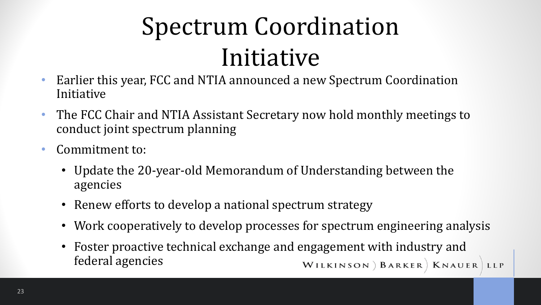# Spectrum Coordination Initiative

- Earlier this year, FCC and NTIA announced a new Spectrum Coordination Initiative
- The FCC Chair and NTIA Assistant Secretary now hold monthly meetings to conduct joint spectrum planning
- Commitment to:
	- Update the 20-year-old Memorandum of Understanding between the agencies
	- Renew efforts to develop a national spectrum strategy
	- Work cooperatively to develop processes for spectrum engineering analysis
	- Foster proactive technical exchange and engagement with industry and federal agencies WILKINSON ) BARKER | KNAUER LLP